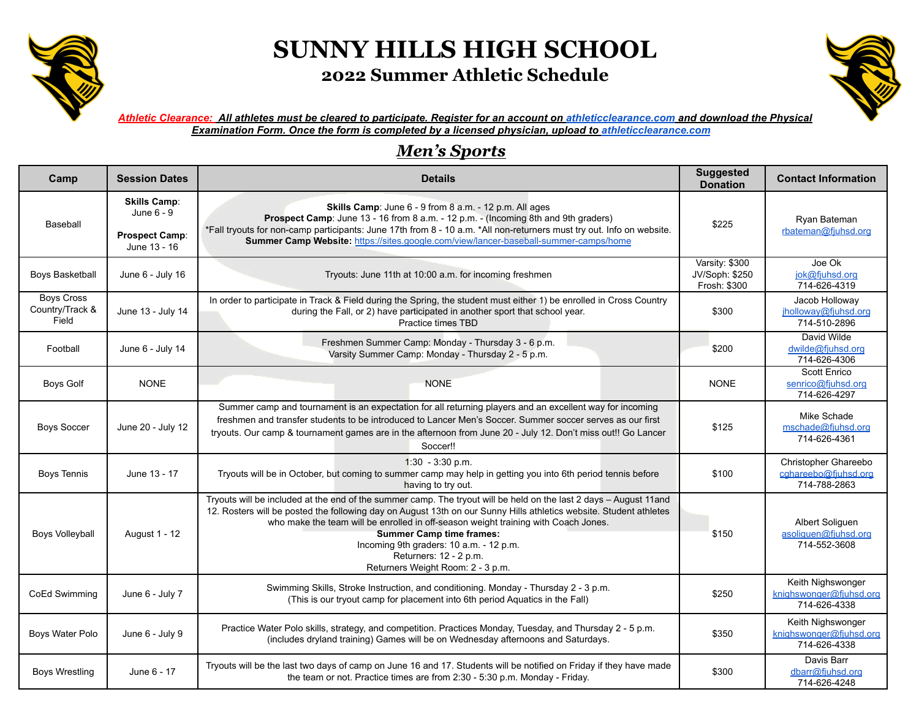

## **SUNNY HILLS HIGH SCHOOL 2022 Summer Athletic Schedule**



*Athletic Clearance: All athletes must be cleared to participate. Register for an account on [athleticclearance.com](http://athleticclearance.com/) and download the Physical Examination Form. Once the form is completed by a licensed physician, upload to [athleticclearance.com](http://athleticclearance.com/)*

## *Men's Sports*

| Camp                                          | <b>Session Dates</b>                                                       | <b>Details</b>                                                                                                                                                                                                                                                                                                                                                                                                                                                             | <b>Suggested</b><br><b>Donation</b>              | <b>Contact Information</b>                                   |
|-----------------------------------------------|----------------------------------------------------------------------------|----------------------------------------------------------------------------------------------------------------------------------------------------------------------------------------------------------------------------------------------------------------------------------------------------------------------------------------------------------------------------------------------------------------------------------------------------------------------------|--------------------------------------------------|--------------------------------------------------------------|
| Baseball                                      | <b>Skills Camp:</b><br>June 6 - 9<br><b>Prospect Camp:</b><br>June 13 - 16 | Skills Camp: June 6 - 9 from 8 a.m. - 12 p.m. All ages<br>Prospect Camp: June 13 - 16 from 8 a.m. - 12 p.m. - (Incoming 8th and 9th graders)<br>*Fall tryouts for non-camp participants: June 17th from 8 - 10 a.m. *All non-returners must try out. Info on website.<br>Summer Camp Website: https://sites.google.com/view/lancer-baseball-summer-camps/home                                                                                                              | \$225                                            | Ryan Bateman<br>rbateman@fjuhsd.org                          |
| <b>Boys Basketball</b>                        | June 6 - July 16                                                           | Tryouts: June 11th at 10:00 a.m. for incoming freshmen                                                                                                                                                                                                                                                                                                                                                                                                                     | Varsity: \$300<br>JV/Soph: \$250<br>Frosh: \$300 | Joe Ok<br>jok@fjuhsd.org<br>714-626-4319                     |
| <b>Boys Cross</b><br>Country/Track &<br>Field | June 13 - July 14                                                          | In order to participate in Track & Field during the Spring, the student must either 1) be enrolled in Cross Country<br>during the Fall, or 2) have participated in another sport that school year.<br>Practice times TBD                                                                                                                                                                                                                                                   | \$300                                            | Jacob Holloway<br>jholloway@fjuhsd.org<br>714-510-2896       |
| Football                                      | June 6 - July 14                                                           | Freshmen Summer Camp: Monday - Thursday 3 - 6 p.m.<br>Varsity Summer Camp: Monday - Thursday 2 - 5 p.m.                                                                                                                                                                                                                                                                                                                                                                    | \$200                                            | David Wilde<br>dwilde@fjuhsd.org<br>714-626-4306             |
| <b>Boys Golf</b>                              | <b>NONE</b>                                                                | <b>NONE</b>                                                                                                                                                                                                                                                                                                                                                                                                                                                                | <b>NONE</b>                                      | Scott Enrico<br>senrico@fjuhsd.org<br>714-626-4297           |
| <b>Boys Soccer</b>                            | June 20 - July 12                                                          | Summer camp and tournament is an expectation for all returning players and an excellent way for incoming<br>freshmen and transfer students to be introduced to Lancer Men's Soccer. Summer soccer serves as our first<br>tryouts. Our camp & tournament games are in the afternoon from June 20 - July 12. Don't miss out!! Go Lancer<br>Soccer!!                                                                                                                          | \$125                                            | Mike Schade<br>mschade@fiuhsd.org<br>714-626-4361            |
| <b>Boys Tennis</b>                            | June 13 - 17                                                               | $1:30 - 3:30$ p.m.<br>Tryouts will be in October, but coming to summer camp may help in getting you into 6th period tennis before<br>having to try out.                                                                                                                                                                                                                                                                                                                    | \$100                                            | Christopher Ghareebo<br>cghareebo@fjuhsd.org<br>714-788-2863 |
| <b>Boys Volleyball</b>                        | August 1 - 12                                                              | Tryouts will be included at the end of the summer camp. The tryout will be held on the last 2 days - August 11and<br>12. Rosters will be posted the following day on August 13th on our Sunny Hills athletics website. Student athletes<br>who make the team will be enrolled in off-season weight training with Coach Jones.<br><b>Summer Camp time frames:</b><br>Incoming 9th graders: 10 a.m. - 12 p.m.<br>Returners: 12 - 2 p.m.<br>Returners Weight Room: 2 - 3 p.m. | \$150                                            | Albert Soliguen<br>asoliguen@fjuhsd.org<br>714-552-3608      |
| CoEd Swimming                                 | June 6 - July 7                                                            | Swimming Skills, Stroke Instruction, and conditioning. Monday - Thursday 2 - 3 p.m.<br>(This is our tryout camp for placement into 6th period Aquatics in the Fall)                                                                                                                                                                                                                                                                                                        | \$250                                            | Keith Nighswonger<br>knighswonger@fjuhsd.org<br>714-626-4338 |
| Boys Water Polo                               | June 6 - July 9                                                            | Practice Water Polo skills, strategy, and competition. Practices Monday, Tuesday, and Thursday 2 - 5 p.m.<br>(includes dryland training) Games will be on Wednesday afternoons and Saturdays.                                                                                                                                                                                                                                                                              | \$350                                            | Keith Nighswonger<br>knighswonger@fiuhsd.org<br>714-626-4338 |
| <b>Boys Wrestling</b>                         | June 6 - 17                                                                | Tryouts will be the last two days of camp on June 16 and 17. Students will be notified on Friday if they have made<br>the team or not. Practice times are from 2:30 - 5:30 p.m. Monday - Friday.                                                                                                                                                                                                                                                                           | \$300                                            | Davis Barr<br>dbarr@fjuhsd.org<br>714-626-4248               |